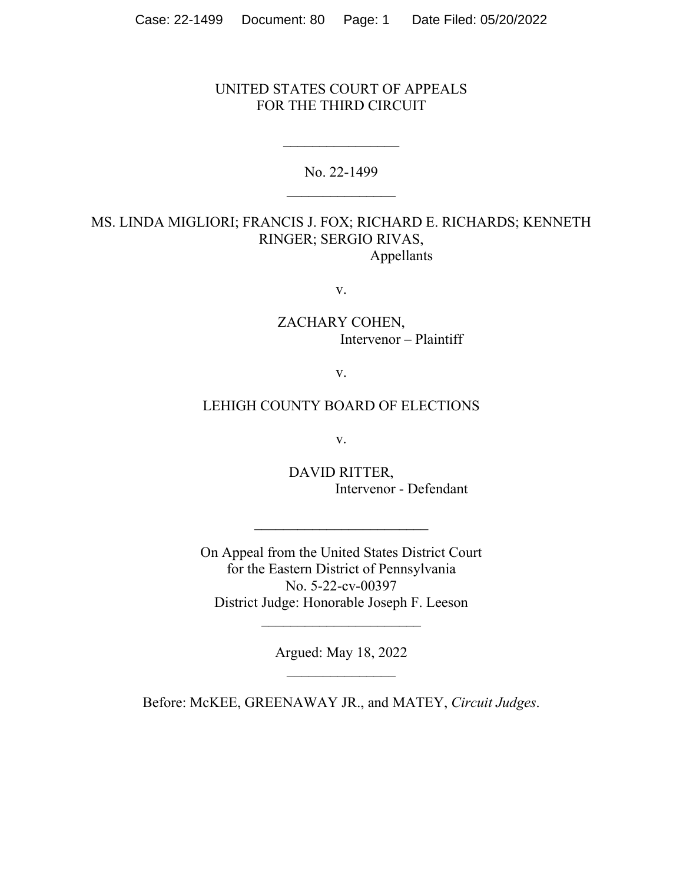## UNITED STATES COURT OF APPEALS FOR THE THIRD CIRCUIT

No. 22-1499 \_\_\_\_\_\_\_\_\_\_\_\_\_\_\_

## MS. LINDA MIGLIORI; FRANCIS J. FOX; RICHARD E. RICHARDS; KENNETH RINGER; SERGIO RIVAS, Appellants

v.

ZACHARY COHEN, Intervenor – Plaintiff

v.

## LEHIGH COUNTY BOARD OF ELECTIONS

v.

DAVID RITTER, Intervenor - Defendant

On Appeal from the United States District Court for the Eastern District of Pennsylvania No. 5-22-cv-00397 District Judge: Honorable Joseph F. Leeson

 $\mathcal{L}_\text{max}$ 

Argued: May 18, 2022

 $\overline{\phantom{a}}$  , where  $\overline{\phantom{a}}$ 

Before: McKEE, GREENAWAY JR., and MATEY, *Circuit Judges*.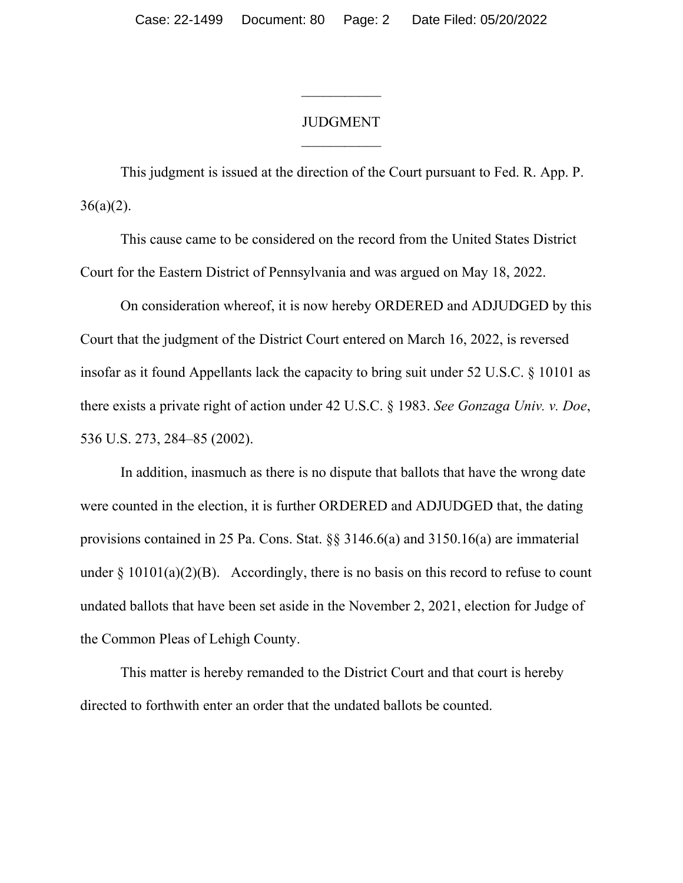## JUDGMENT

 $\frac{1}{2}$ 

This judgment is issued at the direction of the Court pursuant to Fed. R. App. P.  $36(a)(2)$ .

This cause came to be considered on the record from the United States District Court for the Eastern District of Pennsylvania and was argued on May 18, 2022.

On consideration whereof, it is now hereby ORDERED and ADJUDGED by this Court that the judgment of the District Court entered on March 16, 2022, is reversed insofar as it found Appellants lack the capacity to bring suit under 52 U.S.C. § 10101 as there exists a private right of action under 42 U.S.C. § 1983. *See Gonzaga Univ. v. Doe*, 536 U.S. 273, 284–85 (2002).

In addition, inasmuch as there is no dispute that ballots that have the wrong date were counted in the election, it is further ORDERED and ADJUDGED that, the dating provisions contained in 25 Pa. Cons. Stat. §§ 3146.6(a) and 3150.16(a) are immaterial under  $\S 10101(a)(2)(B)$ . Accordingly, there is no basis on this record to refuse to count undated ballots that have been set aside in the November 2, 2021, election for Judge of the Common Pleas of Lehigh County.

This matter is hereby remanded to the District Court and that court is hereby directed to forthwith enter an order that the undated ballots be counted.